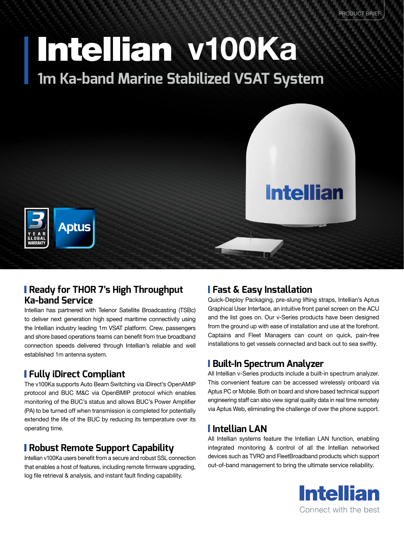# Intellian v100Ka **1m Ka-band Marine Stabilized VSAT System**





#### **Ready for THOR 7's High Throughput Ka-band Service**

Intellian has partnered with Telenor Satellite Broadcasting (TSBc) to deliver next generation high speed maritime connectivity using the Intellian industry leading 1m VSAT platform. Crew, passengers and shore based operations teams can benefit from true broadband connection speeds delivered through Intellian's reliable and well established 1m antenna system.

# **Fully iDirect Compliant**

The v100Ka supports Auto Beam Switching via iDirect's OpenAMIP protocol and BUC M&C via OpenBMIP protocol which enables monitoring of the BUC's status and allows BUC's Power Amplifier (PA) to be turned off when transmission is completed for potentially extended the life of the BUC by reducing its temperature over its operating time.

### **Robust Remote Support Capability**

Intellian v100Ka users benefit from a secure and robust SSL connection that enables a host of features, including remote firmware upgrading, log file retrieval & analysis, and instant fault finding capability.

#### **Fast & Easy Installation**

Quick-Deploy Packaging, pre-slung lifting straps, Intellian's Aptus Graphical User Interface, an intuitive front panel screen on the ACU and the list goes on. Our v-Series products have been designed from the ground up with ease of installation and use at the forefront. Captains and Fleet Managers can count on quick, pain-free installations to get vessels connected and back out to sea swiftly.

#### **Built-In Spectrum Analyzer**

All Intellian v-Series products include a built-in spectrum analyzer. This convenient feature can be accessed wirelessly onboard via Aptus PC or Mobile. Both on board and shore based technical support engineering staff can also view signal quality data in real time remotely via Aptus Web, eliminating the challenge of over the phone support.

# **Intellian LAN**

All Intellian systems feature the Intellian LAN function, enabling integrated monitoring & control of all the Intellian networked devices such as TVRO and FleetBroadband products which support out-of-band management to bring the ultimate service reliability.